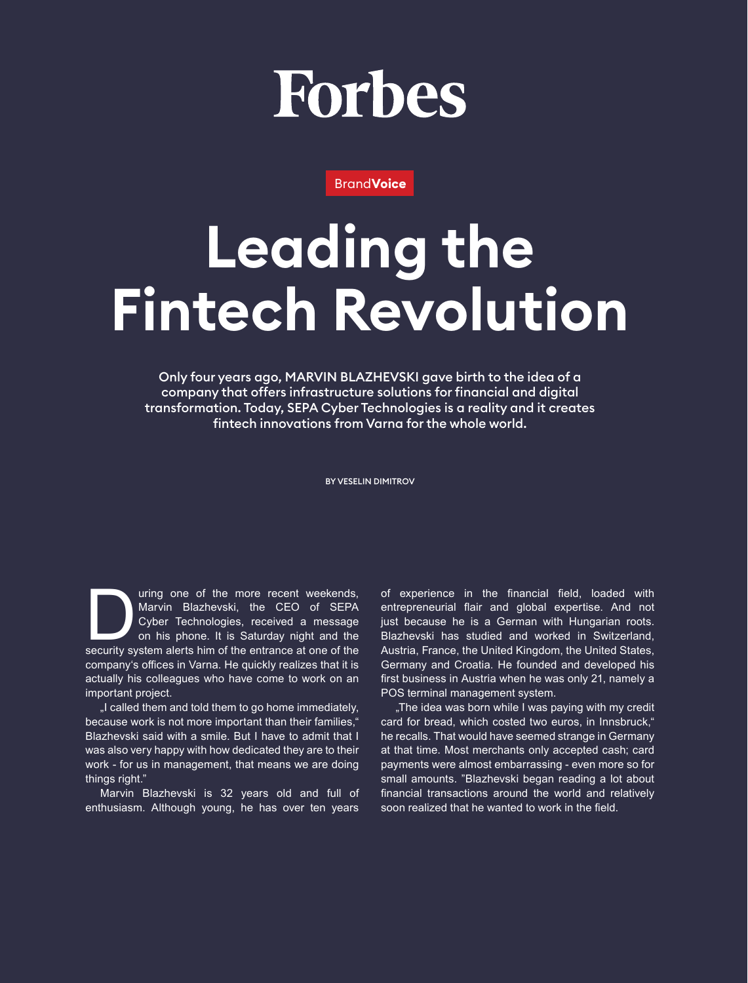# **Forbes**

Brand**Voice**

## **Leading the Fintech Revolution**

Only four years ago, MARVIN BLAZHEVSKI gave birth to the idea of a company that offers infrastructure solutions for financial and digital transformation. Today, SEPA Cyber Technologies is a reality and it creates fintech innovations from Varna for the whole world.

BY VESELIN DIMITROV

Improvement of the more recent weekends, Marvin Blazhevski, the CEO of SEPA Cyber Technologies, received a message on his phone. It is Saturday night and the security system alerts him of the entrance at one of the Marvin Blazhevski, the CEO of SEPA Cyber Technologies, received a message on his phone. It is Saturday night and the company's offices in Varna. He quickly realizes that it is actually his colleagues who have come to work on an important project.

"I called them and told them to go home immediately, because work is not more important than their families," Blazhevski said with a smile. But I have to admit that I was also very happy with how dedicated they are to their work - for us in management, that means we are doing things right."

Marvin Blazhevski is 32 years old and full of enthusiasm. Although young, he has over ten years

of experience in the financial field, loaded with entrepreneurial flair and global expertise. And not just because he is a German with Hungarian roots. Blazhevski has studied and worked in Switzerland, Austria, France, the United Kingdom, the United States, Germany and Croatia. He founded and developed his first business in Austria when he was only 21, namely a POS terminal management system.

"The idea was born while I was paying with my credit card for bread, which costed two euros, in Innsbruck," he recalls. That would have seemed strange in Germany at that time. Most merchants only accepted cash; card payments were almost embarrassing - even more so for small amounts. "Blazhevski began reading a lot about financial transactions around the world and relatively soon realized that he wanted to work in the field.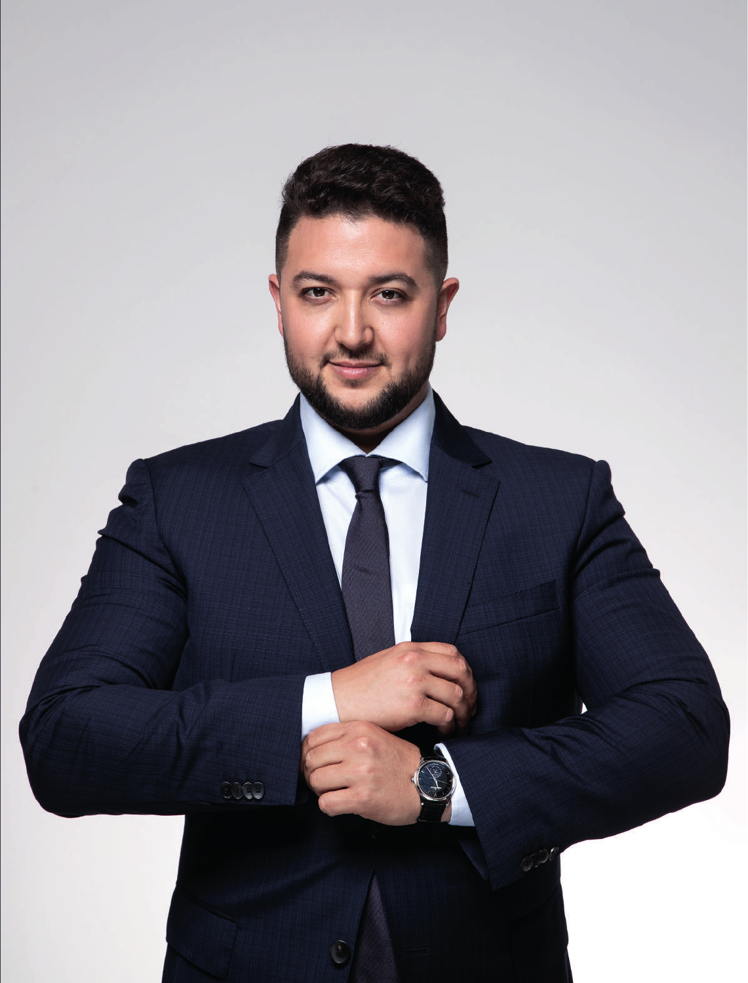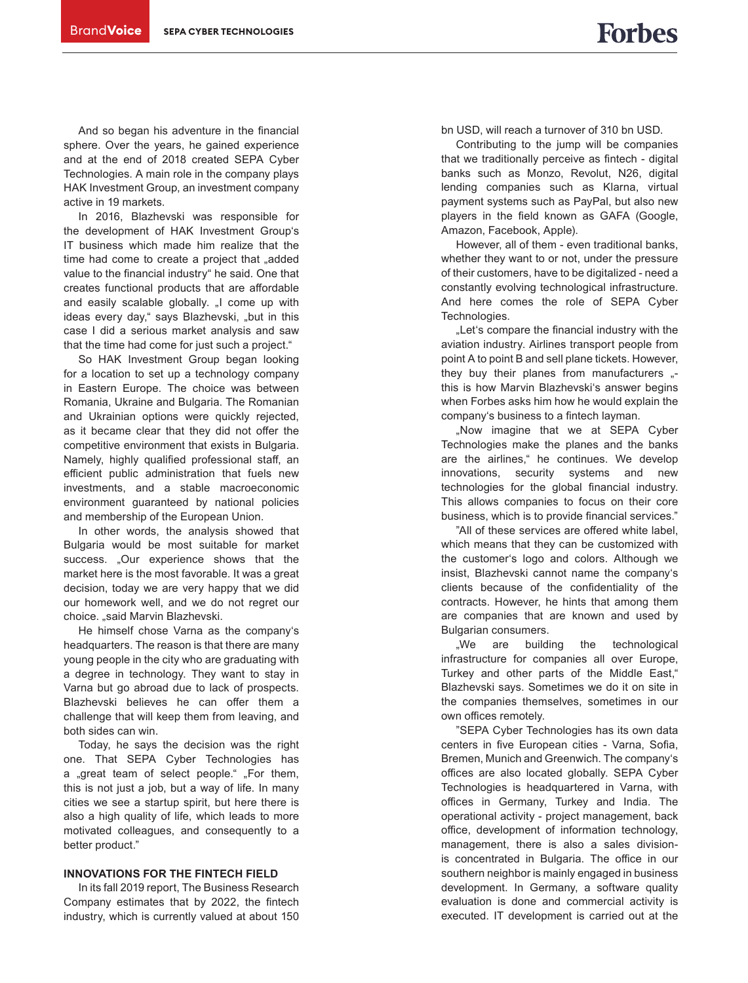And so began his adventure in the financial sphere. Over the years, he gained experience and at the end of 2018 created SEPA Cyber Technologies. A main role in the company plays HAK Investment Group, an investment company active in 19 markets.

In 2016, Blazhevski was responsible for the development of HAK Investment Group's IT business which made him realize that the time had come to create a project that "added value to the financial industry" he said. One that creates functional products that are affordable and easily scalable globally. "I come up with ideas every day," says Blazhevski, "but in this case I did a serious market analysis and saw that the time had come for just such a project."

So HAK Investment Group began looking for a location to set up a technology company in Eastern Europe. The choice was between Romania, Ukraine and Bulgaria. The Romanian and Ukrainian options were quickly rejected, as it became clear that they did not offer the competitive environment that exists in Bulgaria. Namely, highly qualified professional staff, an efficient public administration that fuels new investments, and a stable macroeconomic environment guaranteed by national policies and membership of the European Union.

In other words, the analysis showed that Bulgaria would be most suitable for market success. "Our experience shows that the market here is the most favorable. It was a great decision, today we are very happy that we did our homework well, and we do not regret our choice. "said Marvin Blazhevski.

He himself chose Varna as the company's headquarters. The reason is that there are many young people in the city who are graduating with a degree in technology. They want to stay in Varna but go abroad due to lack of prospects. Blazhevski believes he can offer them a challenge that will keep them from leaving, and both sides can win.

Today, he says the decision was the right one. That SEPA Cyber Technologies has a "great team of select people." "For them, this is not just a job, but a way of life. In many cities we see a startup spirit, but here there is also a high quality of life, which leads to more motivated colleagues, and consequently to a better product."

#### **INNOVATIONS FOR THE FINTECH FIELD**

In its fall 2019 report, The Business Research Company estimates that by 2022, the fintech industry, which is currently valued at about 150

bn USD, will reach a turnover of 310 bn USD.

Contributing to the jump will be companies that we traditionally perceive as fintech - digital banks such as Monzo, Revolut, N26, digital lending companies such as Klarna, virtual payment systems such as PayPal, but also new players in the field known as GAFA (Google, Amazon, Facebook, Apple).

However, all of them - even traditional banks, whether they want to or not, under the pressure of their customers, have to be digitalized - need a constantly evolving technological infrastructure. And here comes the role of SEPA Cyber Technologies.

"Let's compare the financial industry with the aviation industry. Airlines transport people from point A to point B and sell plane tickets. However, they buy their planes from manufacturers ..this is how Marvin Blazhevski's answer begins when Forbes asks him how he would explain the company's business to a fintech layman.

"Now imagine that we at SEPA Cyber Technologies make the planes and the banks are the airlines," he continues. We develop innovations, security systems and new technologies for the global financial industry. This allows companies to focus on their core business, which is to provide financial services."

"All of these services are offered white label. which means that they can be customized with the customer's logo and colors. Although we insist, Blazhevski cannot name the company's clients because of the confidentiality of the contracts. However, he hints that among them are companies that are known and used by Bulgarian consumers.

"We are building the technological infrastructure for companies all over Europe, Turkey and other parts of the Middle East," Blazhevski says. Sometimes we do it on site in the companies themselves, sometimes in our own offices remotely.

"SEPA Cyber Technologies has its own data centers in five European cities - Varna, Sofia, Bremen, Munich and Greenwich. The company's offices are also located globally. SEPA Cyber Technologies is headquartered in Varna, with offices in Germany, Turkey and India. The operational activity - project management, back office, development of information technology, management, there is also a sales divisionis concentrated in Bulgaria. The office in our southern neighbor is mainly engaged in business development. In Germany, a software quality evaluation is done and commercial activity is executed. IT development is carried out at the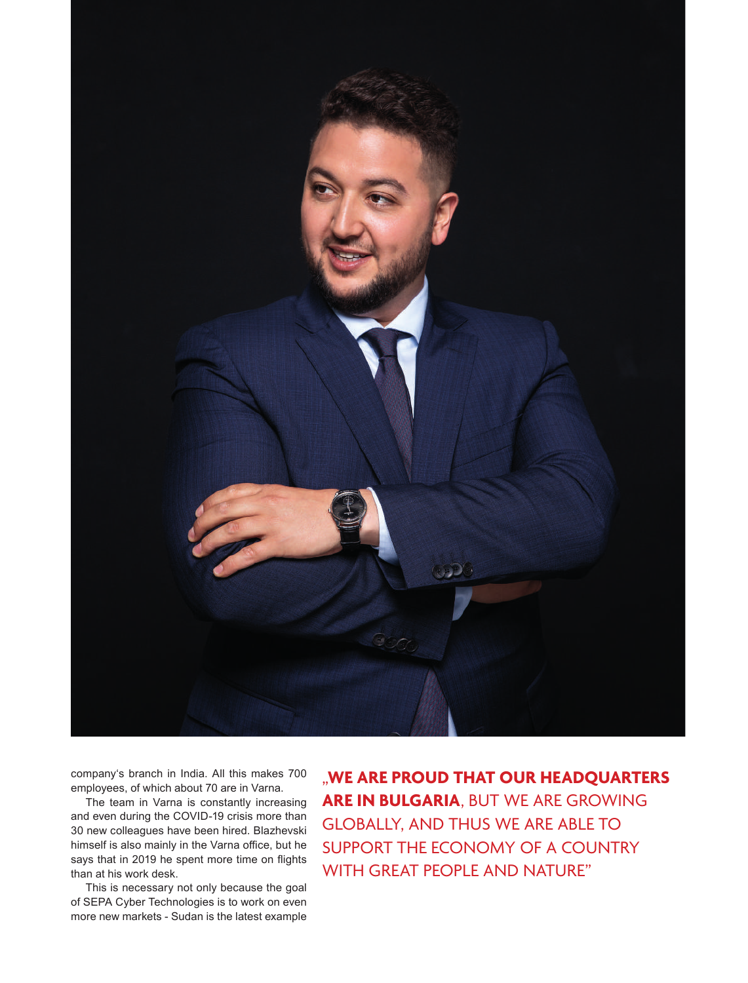

company's branch in India. All this makes 700 employees, of which about 70 are in Varna.

The team in Varna is constantly increasing and even during the COVID-19 crisis more than 30 new colleagues have been hired. Blazhevski himself is also mainly in the Varna office, but he says that in 2019 he spent more time on flights than at his work desk.

This is necessary not only because the goal of SEPA Cyber Technologies is to work on even more new markets - Sudan is the latest example "**WE ARE PROUD THAT OUR HEADQUARTERS ARE IN BULGARIA**, BUT WE ARE GROWING GLOBALLY, AND THUS WE ARE ABLE TO SUPPORT THE ECONOMY OF A COUNTRY WITH GREAT PEOPLE AND NATURE"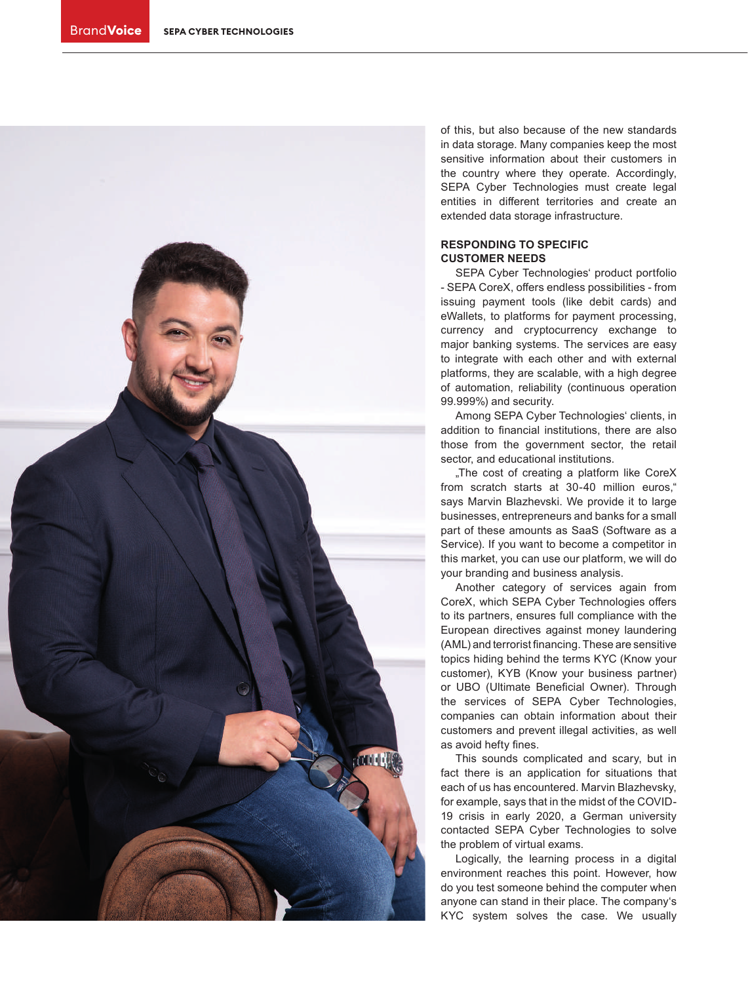

of this, but also because of the new standards in data storage. Many companies keep the most sensitive information about their customers in the country where they operate. Accordingly, SEPA Cyber Technologies must create legal entities in different territories and create an extended data storage infrastructure.

### **RESPONDING TO SPECIFIC CUSTOMER NEEDS**

SEPA Cyber Technologies' product portfolio - SEPA CoreX, offers endless possibilities - from issuing payment tools (like debit cards) and eWallets, to platforms for payment processing, currency and cryptocurrency exchange to major banking systems. The services are easy to integrate with each other and with external platforms, they are scalable, with a high degree of automation, reliability (continuous operation 99.999%) and security.

Among SEPA Cyber Technologies' clients, in addition to financial institutions, there are also those from the government sector, the retail sector, and educational institutions.

"The cost of creating a platform like CoreX from scratch starts at 30-40 million euros," says Marvin Blazhevski. We provide it to large businesses, entrepreneurs and banks for a small part of these amounts as SaaS (Software as a Service). If you want to become a competitor in this market, you can use our platform, we will do your branding and business analysis.

Another category of services again from CoreX, which SEPA Cyber Technologies offers to its partners, ensures full compliance with the European directives against money laundering (AML) and terrorist financing. These are sensitive topics hiding behind the terms KYC (Know your customer), KYB (Know your business partner) or UBO (Ultimate Beneficial Owner). Through the services of SEPA Cyber Technologies, companies can obtain information about their customers and prevent illegal activities, as well as avoid hefty fines.

This sounds complicated and scary, but in fact there is an application for situations that each of us has encountered. Marvin Blazhevsky, for example, says that in the midst of the COVID-19 crisis in early 2020, a German university contacted SEPA Cyber Technologies to solve the problem of virtual exams.

Logically, the learning process in a digital environment reaches this point. However, how do you test someone behind the computer when anyone can stand in their place. The company's KYC system solves the case. We usually